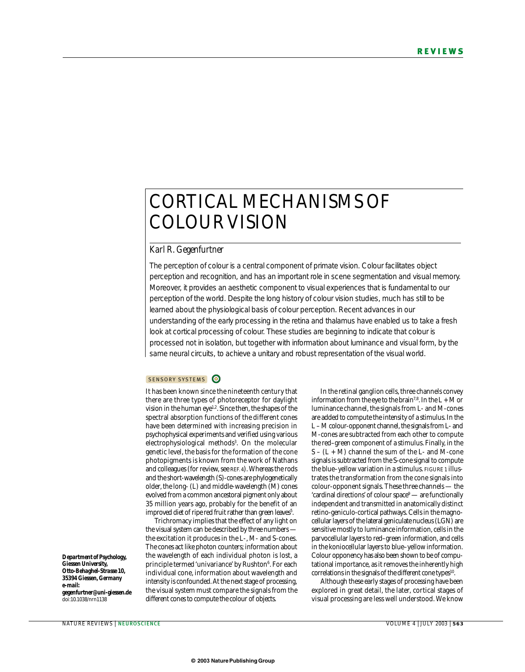# CORTICAL MECHANISMS OF COLOUR VISION

# *Karl R. Gegenfurtner*

The perception of colour is a central component of primate vision. Colour facilitates object perception and recognition, and has an important role in scene segmentation and visual memory. Moreover, it provides an aesthetic component to visual experiences that is fundamental to our perception of the world. Despite the long history of colour vision studies, much has still to be learned about the physiological basis of colour perception. Recent advances in our understanding of the early processing in the retina and thalamus have enabled us to take a fresh look at cortical processing of colour. These studies are beginning to indicate that colour is processed not in isolation, but together with information about luminance and visual form, by the same neural circuits, to achieve a unitary and robust representation of the visual world.

# SENSORY SYSTEMS<sup>O</sup>

It has been known since the nineteenth century that there are three types of photoreceptor for daylight vision in the human eye<sup>1,2</sup>. Since then, the shapes of the spectral absorption functions of the different cones have been determined with increasing precision in psychophysical experiments and verified using various electrophysiological methods<sup>3</sup>. On the molecular genetic level, the basis for the formation of the cone photopigments is known from the work of Nathans and colleagues (for review, see REF. 4). Whereas the rods and the short-wavelength (S)-cones are phylogenetically older, the long- (L) and middle-wavelength (M) cones evolved from a common ancestoral pigment only about 35 million years ago, probably for the benefit of an improved diet of ripe red fruit rather than green leaves<sup>5</sup>.

Trichromacy implies that the effect of any light on the visual system can be described by three numbers the excitation it produces in the L-, M- and S-cones. The cones act like photon counters; information about the wavelength of each individual photon is lost, a principle termed 'univariance' by Rushton<sup>6</sup>. For each individual cone, information about wavelength and intensity is confounded. At the next stage of processing, the visual system must compare the signals from the different cones to compute the colour of objects.

In the retinal ganglion cells, three channels convey information from the eye to the brain<sup>7,8</sup>. In the  $L + M$  or luminance channel, the signals from L- and M-cones are added to compute the intensity of a stimulus. In the L – M colour-opponent channel, the signals from L- and M-cones are subtracted from each other to compute the red–green component of a stimulus. Finally, in the  $S - (L + M)$  channel the sum of the L- and M-cone signals is subtracted from the S-cone signal to compute the blue–yellow variation in a stimulus. FIGURE 1 illustrates the transformation from the cone signals into colour-opponent signals. These three channels — the 'cardinal directions' of colour space<sup>9</sup> — are functionally independent and transmitted in anatomically distinct retino-geniculo-cortical pathways. Cells in the magnocellular layers of the lateral geniculate nucleus (LGN) are sensitive mostly to luminance information, cells in the parvocellular layers to red–green information, and cells in the koniocellular layers to blue–yellow information. Colour opponency has also been shown to be of computational importance, as it removes the inherently high correlations in the signals of the different cone types<sup>10</sup>.

Although these early stages of processing have been explored in great detail, the later, cortical stages of visual processing are less well understood. We know

*Department of Psychology, Giessen University, Otto-Behaghel-Strasse 10, 35394 Giessen, Germany e-mail: gegenfurtner@uni-giessen.de* doi:10.1038/nrn1138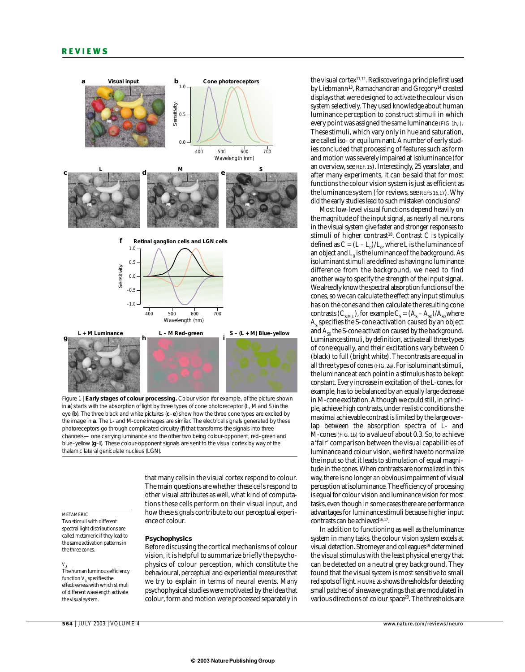

in **a**) starts with the absorption of light by three types of cone photoreceptor (L, M and S) in the eye (**b**). The three black and white pictures (**c**–**e**) show how the three cone types are excited by the image in **a**. The L- and M-cone images are similar. The electrical signals generated by these photoreceptors go through complicated circuitry (**f**) that transforms the signals into three channels— one carrying luminance and the other two being colour-opponent, red–green and blue–yellow (**g**–**i**). These colour-opponent signals are sent to the visual cortex by way of the thalamic lateral geniculate nucleus (LGN).

ence of colour.

**Psychophysics**

**METAMERIC** 

Two stimuli with different spectral light distributions are called metameric if they lead to the same activation patterns in the three cones.

#### $V_{\lambda}$

The human luminous efficiency function *V*<sub>1</sub> specifies the effectiveness with which stimuli of different wavelength activate the visual system.

the visual cortex<sup>11,12</sup>. Rediscovering a principle first used by Liebmann<sup>13</sup>, Ramachandran and Gregory<sup>14</sup> created displays that were designed to activate the colour vision system selectively. They used knowledge about human luminance perception to construct stimuli in which every point was assigned the same luminance (FIG. 1h,i). These stimuli, which vary only in hue and saturation, are called iso- or equiluminant. A number of early studies concluded that processing of features such as form and motion was severely impaired at isoluminance (for an overview, see REF. 15). Interestingly, 25 years later, and after many experiments, it can be said that for most functions the colour vision system is just as efficient as the luminance system (for reviews, see REFS 16,17). Why did the early studies lead to such mistaken conclusions?

Most low-level visual functions depend heavily on the magnitude of the input signal, as nearly all neurons in the visual system give faster and stronger responses to stimuli of higher contrast<sup>18</sup>. Contrast  $C$  is typically defined as  $C = (L - L_0)/L_0$ , where *L* is the luminance of an object and  $L_0$  is the luminance of the background. As isoluminant stimuli are defined as having no luminance difference from the background, we need to find another way to specify the strength of the input signal. We alreadly know the spectral absorption functions of the cones, so we can calculate the effect any input stimulus has on the cones and then calculate the resulting cone contrasts  $(C_{SML})$ , for example  $C_S = (A_S - A_{S0})/A_{S0}$  where A<sub>s</sub> specifies the S-cone activation caused by an object and  $A_{\rm so}$  the S-cone activation caused by the background. Luminance stimuli, by definition, activate all three types of cone equally, and their excitations vary between 0 (black) to full (bright white). The contrasts are equal in all three types of cones (FIG. 2a). For isoluminant stimuli, the luminance at each point in a stimulus has to be kept constant. Every increase in excitation of the L-cones, for example, has to be balanced by an equally large decrease in M-cone excitation. Although we could still, in principle, achieve high contrasts, under realistic conditions the maximal achievable contrast is limited by the large overlap between the absorption spectra of L- and M-cones (FIG. 1b) to a value of about 0.3. So, to achieve a 'fair' comparison between the visual capabilities of luminance and colour vision, we first have to normalize the input so that it leads to stimulation of equal magnitude in the cones. When contrasts are normalized in this way, there is no longer an obvious impairment of visual perception at isoluminance. The efficiency of processing is equal for colour vision and luminance vision for most tasks, even though in some cases there are performance advantages for luminance stimuli because higher input contrasts can be achieved<sup>16,17</sup>.

In addition to functioning as well as the luminance system in many tasks, the colour vision system excels at visual detection. Stromeyer and colleagues<sup>19</sup> determined the visual stimulus with the least physical energy that can be detected on a neutral grey background. They found that the visual system is most sensitive to small red spots of light. FIGURE 2b shows thresholds for detecting small patches of sinewave gratings that are modulated in various directions of colour space<sup>20</sup>. The thresholds are

that many cells in the visual cortex respond to colour. The main questions are whether these cells respond to other visual attributes as well, what kind of computations these cells perform on their visual input, and how these signals contribute to our perceptual experi-

Before discussing the cortical mechanisms of colour vision, it is helpful to summarize briefly the psychophysics of colour perception, which constitute the behavioural, perceptual and experiential measures that we try to explain in terms of neural events. Many psychophysical studies were motivated by the idea that colour, form and motion were processed separately in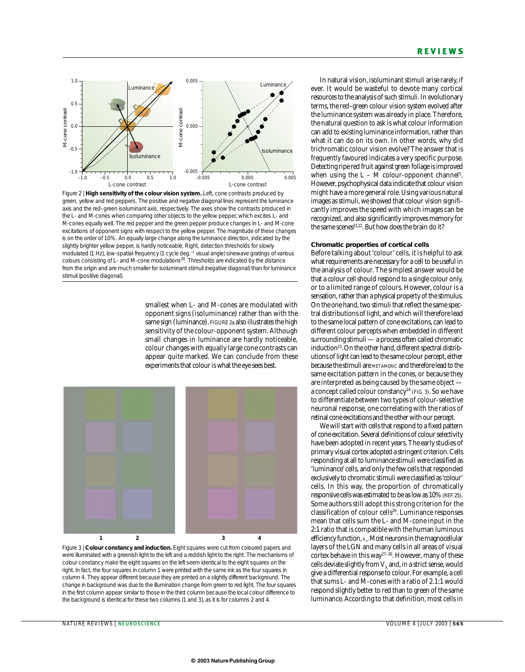

Figure 2 | **High sensitivity of the colour vision system.** Left, cone contrasts produced by green, yellow and red peppers. The positive and negative diagonal lines represent the luminance axis and the red–green isoluminant axis, respectively. The axes show the contrasts produced in the L- and M-cones when comparing other objects to the yellow pepper, which excites L- and M-cones equally well. The red pepper and the green pepper produce changes in L- and M-cone excitations of opponent signs with respect to the yellow pepper. The magnitude of these changes is on the order of 10%. An equally large change along the luminance direction, indicated by the slightly brighter yellow pepper, is hardly noticeable. Right, detection thresholds for slowly modulated (1 Hz), low-spatial-frequency (1 cycle deg.<sup>-1</sup> visual angle) sinewave gratings of various colours consisting of L- and M-cone modulations20. Thresholds are indicated by the distance from the origin and are much smaller for isoluminant stimuli (negative diagonal) than for luminance stimuli (positive diagonal).

smallest when L- and M-cones are modulated with opponent signs (isoluminance) rather than with the same sign (luminance). FIGURE 2a also illustrates the high sensitivity of the colour-opponent system. Although small changes in luminance are hardly noticeable, colour changes with equally large cone contrasts can appear quite marked. We can conclude from these experiments that colour is what the eye sees best.



Figure 3 | **Colour constancy and induction.** Eight squares were cut from coloured papers and were illuminated with a greenish light to the left and a reddish light to the right. The mechanisms of colour constancy make the eight squares on the left seem identical to the eight squares on the right. In fact, the four squares in column 1 were printed with the same ink as the four squares in column 4. They appear different because they are printed on a slightly different background. The change in background was due to the illumination change from green to red light. The four squares in the first column appear similar to those in the third column because the local colour difference to the background is identical for these two columns (1 and 3), as it is for columns 2 and 4.

In natural vision, isoluminant stimuli arise rarely, if ever. It would be wasteful to devote many cortical resources to the analysis of such stimuli. In evolutionary terms, the red–green colour vision system evolved after the luminance system was already in place. Therefore, the natural question to ask is what colour information can add to existing luminance information, rather than what it can do on its own. In other words, why did trichromatic colour vision evolve? The answer that is frequently favoured indicates a very specific purpose. Detecting ripe red fruit against green foliage is improved when using the  $L - M$  colour-opponent channel<sup>5</sup>. However, psychophysical data indicate that colour vision might have a more general role. Using various natural images as stimuli, we showed that colour vision significantly improves the speed with which images can be recognized, and also significantly improves memory for the same scenes<sup>21,22</sup>. But how does the brain do it?

#### **Chromatic properties of cortical cells**

Before talking about 'colour' cells, it is helpful to ask what requirements are necessary for a cell to be useful in the analysis of colour. The simplest answer would be that a colour cell should respond to a single colour only, or to a limited range of colours. However, colour is a sensation, rather than a physical property of the stimulus. On the one hand, two stimuli that reflect the same spectral distributions of light, and which will therefore lead to the same local pattern of cone excitations, can lead to different colour percepts when embedded in different surrounding stimuli — a process often called chromatic induction<sup>23</sup>. On the other hand, different spectral distributions of light can lead to the same colour percept, either because the stimuli are METAMERIC and therefore lead to the same excitation pattern in the cones, or because they are interpreted as being caused by the same object a concept called colour constancy<sup>24</sup> (FIG. 3). So we have to differentiate between two types of colour-selective neuronal response, one correlating with the ratios of retinal cone excitations and the other with our percept.

We will start with cells that respond to a fixed pattern of cone excitation. Several definitions of colour selectivity have been adopted in recent years. The early studies of primary visual cortex adopted a stringent criterion. Cells responding at all to luminance stimuli were classified as 'luminance' cells, and only the few cells that responded exclusively to chromatic stimuli were classified as 'colour' cells. In this way, the proportion of chromatically responsive cells was estimated to be as low as 10% (REF. 25). Some authors still adopt this strong criterion for the classification of colour cells<sup>26</sup>. Luminance responses mean that cells sum the L- and M-cone input in the 2:1 ratio that is compatible with the human luminous efficiency function,  $\rm\scriptstyle V_\lambda$ . Most neurons in the magnocellular layers of the LGN and many cells in all areas of visual cortex behave in this way<sup>27-30</sup>. However, many of these cells deviate slightly from  $V_{\!\lambda}$  and, in a strict sense, would give a differential response to colour. For example, a cell that sums L- and M-cones with a ratio of 2.1:1 would respond slightly better to red than to green of the same luminance. According to that definition, most cells in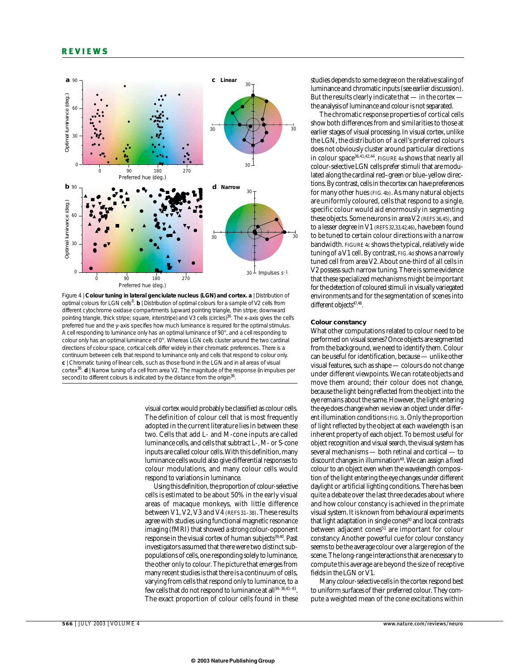# REVIEWS



Figure 4 | **Colour tuning in lateral genciulate nucleus (LGN) and cortex. a** | Distribution of optimal colours for LGN cells<sup>8</sup>. **b** | Distribution of optimal colours for a sample of V2 cells from different cytochrome oxidase compartments (upward pointing triangle, thin stripe; downward pointing triangle, thick stripe; square, interstripe) and V3 cells (circles)<sup>36</sup>. The *x*-axis gives the cell's preferred hue and the *y*-axis specifies how much luminance is required for the optimal stimulus. A cell responding to luminance only has an optimal luminance of 90°, and a cell responding to colour only has an optimal luminance of 0°. Whereas LGN cells cluster around the two cardinal directions of colour space, cortical cells differ widely in their chromatic preferences. There is a continuum between cells that respond to luminance only and cells that respond to colour only. **c** | Chromatic tuning of linear cells, such as those found in the LGN and in all areas of visual cortex36. **d** | Narrow tuning of a cell from area V2. The magnitude of the response (in impulses per second) to different colours is indicated by the distance from the origin<sup>36</sup>

visual cortex would probably be classified as colour cells. The definition of colour cell that is most frequently adopted in the current literature lies in between these two. Cells that add L- and M-cone inputs are called luminance cells, and cells that subtract L-, M- or S-cone inputs are called colour cells. With this definition, many luminance cells would also give differential responses to colour modulations, and many colour cells would respond to variations in luminance.

Using this definition, the proportion of colour-selective cells is estimated to be about 50% in the early visual areas of macaque monkeys, with little difference between V1, V2, V3 and V4 (REFS 31–38). These results agree with studies using functional magnetic resonance imaging (fMRI) that showed a strong colour-opponent response in the visual cortex of human subjects<sup>39,40</sup>. Past investigators assumed that there were two distinct subpopulations of cells, one responding solely to luminance, the other only to colour. The picture that emerges from many recent studies is that there is a continuum of cells, varying from cells that respond only to luminance, to a few cells that do not respond to luminance at all<sup>34-36,41-43</sup>. The exact proportion of colour cells found in these

studies depends to some degree on the relative scaling of luminance and chromatic inputs (see earlier discussion). But the results clearly indicate that — in the cortex the analysis of luminance and colour is not separated.

The chromatic response properties of cortical cells show both differences from and similarities to those at earlier stages of visual processing. In visual cortex, unlike the LGN, the distribution of a cell's preferred colours does not obviously cluster around particular directions in colour space36,41,42,44. FIGURE 4a shows that nearly all colour-selective LGN cells prefer stimuli that are modulated along the cardinal red–green or blue–yellow directions. By contrast, cells in the cortex can have preferences for many other hues (FIG. 4b). As many natural objects are uniformly coloured, cells that respond to a single, specific colour would aid enormously in segmenting these objects. Some neurons in area V2 (REFS 36,45), and to a lesser degree in V1 (REFS 32,33,42,46), have been found to be tuned to certain colour directions with a narrow bandwidth. FIGURE 4c shows the typical, relatively wide tuning of a V1 cell. By contrast, FIG. 4d shows a narrowly tuned cell from area V2. About one-third of all cells in V2 possess such narrow tuning. There is some evidence that these specialized mechanisms might be important for the detection of coloured stimuli in visually variegated environments and for the segmentation of scenes into different objects<sup>47,48</sup>.

# **Colour constancy**

What other computations related to colour need to be performed on visual scenes? Once objects are segmented from the background, we need to identify them. Colour can be useful for identification, because — unlike other visual features, such as shape — colours do not change under different viewpoints. We can rotate objects and move them around; their colour does not change, because the light being reflected from the object into the eye remains about the same. However, the light entering the eye does change when we view an object under different illumination conditions (FIG. 3). Only the proportion of light reflected by the object at each wavelength is an inherent property of each object. To be most useful for object recognition and visual search, the visual system has several mechanisms — both retinal and cortical — to discount changes in illumination<sup>49</sup>. We can assign a fixed colour to an object even when the wavelength composition of the light entering the eye changes under different daylight or artificial lighting conditions. There has been quite a debate over the last three decades about where and how colour constancy is achieved in the primate visual system. It is known from behavioural experiments that light adaptation in single cones $50$  and local contrasts between adjacent cones<sup>51</sup> are important for colour constancy. Another powerful cue for colour constancy seems to be the average colour over a large region of the scene. The long-range interactions that are necessary to compute this average are beyond the size of receptive fields in the LGN or V1.

Many colour-selective cells in the cortex respond best to uniform surfaces of their preferred colour. They compute a weighted mean of the cone excitations within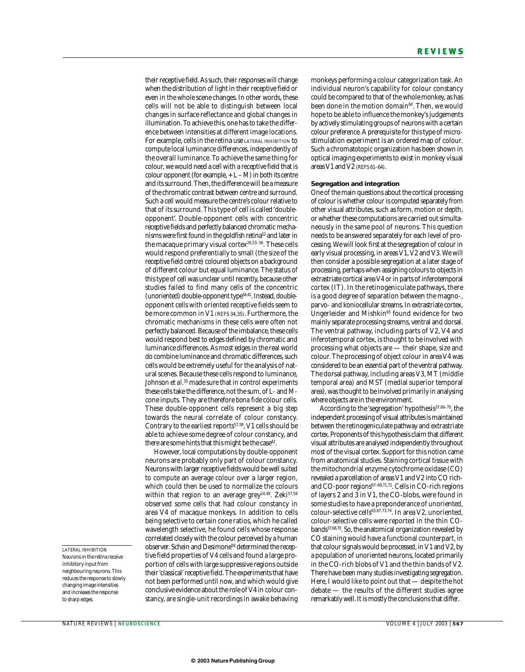their receptive field. As such, their responses will change when the distribution of light in their receptive field or even in the whole scene changes. In other words, these cells will not be able to distinguish between local changes in surface reflectance and global changes in illumination. To achieve this, one has to take the difference between intensities at different image locations. For example, cells in the retina use LATERAL INHIBITION to compute local luminance differences, independently of the overall luminance. To achieve the same thing for colour, we would need a cell with a receptive field that is colour opponent (for example,  $+ L - M$ ) in both its centre and its surround. Then, the difference will be a measure of the chromatic contrast between centre and surround. Such a cell would measure the centre's colour relative to that of its surround. This type of cell is called 'doubleopponent'. Double-opponent cells with concentric receptive fields and perfectly balanced chromatic mechanisms were first found in the goldfish retina52 and later in the macaque primary visual cortex $26,53-56$ . These cells would respond preferentially to small (the size of the receptive field centre) coloured objects on a background of different colour but equal luminance. The status of this type of cell was unclear until recently, because other studies failed to find many cells of the concentric (unoriented) double-opponent type34,41. Instead, doubleopponent cells with oriented receptive fields seem to be more common in V1 (REFS 34,35). Furthermore, the chromatic mechanisms in these cells were often not perfectly balanced. Because of the imbalance, these cells would respond best to edges defined by chromatic and luminance differences. As most edges in the real world do combine luminance and chromatic differences, such cells would be extremely useful for the analysis of natural scenes. Because these cells respond to luminance, Johnson *et al.*<sup>35</sup> made sure that in control experiments these cells take the difference, not the sum, of L- and Mcone inputs. They are therefore *bona fide* colour cells. These double-opponent cells represent a big step towards the neural correlate of colour constancy. Contrary to the earliest reports57,58, V1 cells should be able to achieve some degree of colour constancy, and there are some hints that this might be the case<sup>42</sup>.

However, local computations by double-opponent neurons are probably only part of colour constancy. Neurons with larger receptive fields would be well suited to compute an average colour over a larger region, which could then be used to normalize the colours within that region to an average grey<sup>24,49</sup>. Zeki<sup>57,58</sup> observed some cells that had colour constancy in area V4 of macaque monkeys. In addition to cells being selective to certain cone ratios, which he called wavelength selective, he found cells whose response correlated closely with the colour perceived by a human observer. Schein and Desimone<sup>59</sup> determined the receptive field properties of V4 cells and found a large proportion of cells with large suppressive regions outside their 'classical' receptive field. The experiments that have not been performed until now, and which would give conclusive evidence about the role of V4 in colour constancy, are single-unit recordings in awake behaving

monkeys performing a colour categorization task. An individual neuron's capability for colour constancy could be compared to that of the whole monkey, as has been done in the motion domain<sup>60</sup>. Then, we would hope to be able to influence the monkey's judgements by actively stimulating groups of neurons with a certain colour preference. A prerequisite for this type of microstimulation experiment is an ordered map of colour. Such a chromatotopic organization has been shown in optical imaging experiments to exist in monkey visual areas V1 and V2 (REFS 61–64).

#### **Segregation and integration**

One of the main questions about the cortical processing of colour is whether colour is computed separately from other visual attributes, such as form, motion or depth, or whether these computations are carried out simultaneously in the same pool of neurons. This question needs to be answered separately for each level of processing. We will look first at the segregation of colour in early visual processing, in areas V1, V2 and V3. We will then consider a possible segregation at a later stage of processing, perhaps when assigning colours to objects in extrastriate cortical area V4 or in parts of inferotemporal cortex (IT). In the retinogeniculate pathways, there is a good degree of separation between the magno-, parvo- and koniocellular streams. In extrastriate cortex, Ungerleider and Mishkin<sup>65</sup> found evidence for two mainly separate processing streams, ventral and dorsal. The ventral pathway, including parts of V2, V4 and inferotemporal cortex, is thought to be involved with processing what objects are — their shape, size and colour. The processing of object colour in area V4 was considered to be an essential part of the ventral pathway. The dorsal pathway, including areas V3, MT (middle temporal area) and MST (medial superior temporal area), was thought to be involved primarily in analysing where objects are in the environment.

According to the 'segregation' hypothesis<sup>37,66-70</sup>, the independent processing of visual attributes is maintained between the retinogeniculate pathway and extrastriate cortex. Proponents of this hypothesis claim that different visual attributes are analysed independently throughout most of the visual cortex. Support for this notion came from anatomical studies. Staining cortical tissue with the mitochondrial enzyme cytochrome oxidase (CO) revealed a parcellation of areas V1 and V2 into CO richand CO-poor regions $67-69,71,72$ . Cells in CO-rich regions of layers 2 and 3 in V1, the CO-blobs, were found in some studies to have a preponderance of unoriented, colour-selective cells63,67,73,74. In area V2, unoriented, colour-selective cells were reported in the thin CObands<sup>37,68,70</sup>. So, the anatomical organization revealed by CO staining would have a functional counterpart, in that colour signals would be processed, in V1 and V2, by a population of unoriented neurons, located primarily in the CO-rich blobs of V1 and the thin bands of V2. There have been many studies investigating segregation. Here, I would like to point out that — despite the hot debate — the results of the different studies agree remarkably well. It is mostly the conclusions that differ.

LATERAL INHIBITION Neurons in the retina receive inhibitory input from neighbouring neurons. This reduces the response to slowly changing image intensities and increases the response to sharp edges.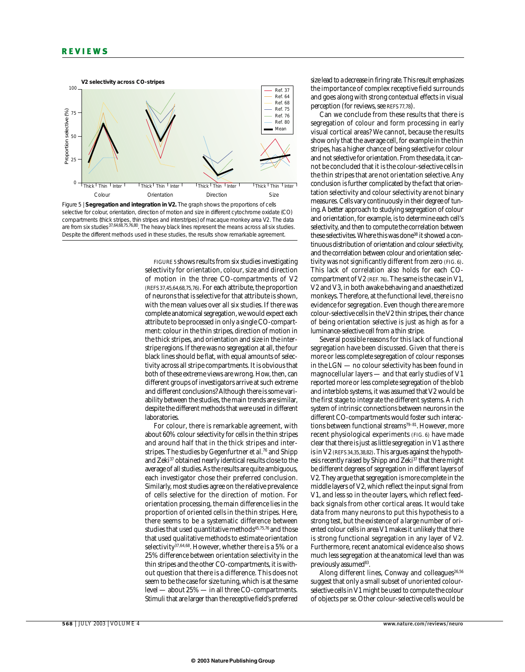

Figure 5 | **Segregation and integration in V2.** The graph shows the proportions of cells selective for colour, orientation, direction of motion and size in different cytochrome oxidate (CO) compartments (thick stripes, thin stripes and interstripes) of macaque monkey area V2. The data are from six studies<sup>37,64,68,75,76,80</sup>. The heavy black lines represent the means across all six studies. Despite the different methods used in these studies, the results show remarkable agreement.

FIGURE 5 shows results from six studies investigating selectivity for orientation, colour, size and direction of motion in the three CO-compartments of V2 (REFS 37,45,64,68,75,76). For each attribute, the proportion of neurons that is selective for that attribute is shown, with the mean values over all six studies. If there was complete anatomical segregation, we would expect each attribute to be processed in only a single CO-compartment: colour in the thin stripes, direction of motion in the thick stripes, and orientation and size in the interstripe regions. If there was no segregation at all, the four black lines should be flat, with equal amounts of selectivity across all stripe compartments. It is obvious that both of these extreme views are wrong. How, then, can different groups of investigators arrive at such extreme and different conclusions? Although there is some variability between the studies, the main trends are similar, despite the different methods that were used in different laboratories.

For colour, there is remarkable agreement, with about 60% colour selectivity for cells in the thin stripes and around half that in the thick stripes and interstripes. The studies by Gegenfurtner *et al.*<sup>76</sup> and Shipp and Zeki37 obtained nearly identical results close to the average of all studies. As the results are quite ambiguous, each investigator chose their preferred conclusion. Similarly, most studies agree on the relative prevalence of cells selective for the direction of motion. For orientation processing, the main difference lies in the proportion of oriented cells in the thin stripes. Here, there seems to be a systematic difference between studies that used quantitative methods<sup>45,75,76</sup> and those that used qualitative methods to estimate orientation selectivity<sup>37,64,68</sup>. However, whether there is a 5% or a 25% difference between orientation selectivity in the thin stripes and the other CO-compartments, it is without question that there is a difference. This does not seem to be the case for size tuning, which is at the same level — about 25% — in all three CO-compartments. Stimuli that are larger than the receptive field's preferred

size lead to a decrease in firing rate. This result emphasizes the importance of complex receptive field surrounds and goes along with strong contextual effects in visual perception (for reviews, see REFS 77,78).

Can we conclude from these results that there is segregation of colour and form processing in early visual cortical areas? We cannot, because the results show only that the average cell, for example in the thin stripes, has a higher chance of being selective for colour and not selective for orientation. From these data, it cannot be concluded that it is the colour-selective cells in the thin stripes that are not orientation selective. Any conclusion is further complicated by the fact that orientation selectivity and colour selectivity are not binary measures. Cells vary continuously in their degree of tuning.A better approach to studying segregation of colour and orientation, for example, is to determine each cell's selectivity, and then to compute the correlation between these selectivites. Where this was done<sup>38</sup> it showed a continuous distribution of orientation and colour selectivity, and the correlation between colour and orientation selectivity was not significantly different from zero (FIG. 6). This lack of correlation also holds for each COcompartment of V2 (REF. 76). The same is the case in V1, V2 and V3, in both awake behaving and anaesthetized monkeys. Therefore, at the functional level, there is no evidence for segregation. Even though there are more colour-selective cells in the V2 thin stripes, their chance of being orientation selective is just as high as for a luminance-selective cell from a thin stripe.

Several possible reasons for this lack of functional segregation have been discussed. Given that there is more or less complete segregation of colour responses in the LGN — no colour selectivity has been found in magnocellular layers — and that early studies of V1 reported more or less complete segregation of the blob and interblob systems, it was assumed that V2 would be the first stage to integrate the different systems. A rich system of intrinsic connections between neurons in the different CO-compartments would foster such interactions between functional streams<sup>79–81</sup>. However, more recent physiological experiments (FIG. 6) have made clear that there is just as little segregation in V1 as there is in V2 (REFS 34,35,38,82). This argues against the hypothesis recently raised by Shipp and Zeki<sup>37</sup> that there might be different degrees of segregation in different layers of V2. They argue that segregation is more complete in the middle layers of V2, which reflect the input signal from V1, and less so in the outer layers, which reflect feedback signals from other cortical areas. It would take data from many neurons to put this hypothesis to a strong test, but the existence of a large number of oriented colour cells in area V1 makes it unlikely that there is strong functional segregation in any layer of V2. Furthermore, recent anatomical evidence also shows much less segregation at the anatomical level than was previously assumed<sup>83</sup>.

Along different lines, Conway and colleagues<sup>26,56</sup> suggest that only a small subset of unoriented colourselective cells in V1 might be used to compute the colour of objects *per se*. Other colour-selective cells would be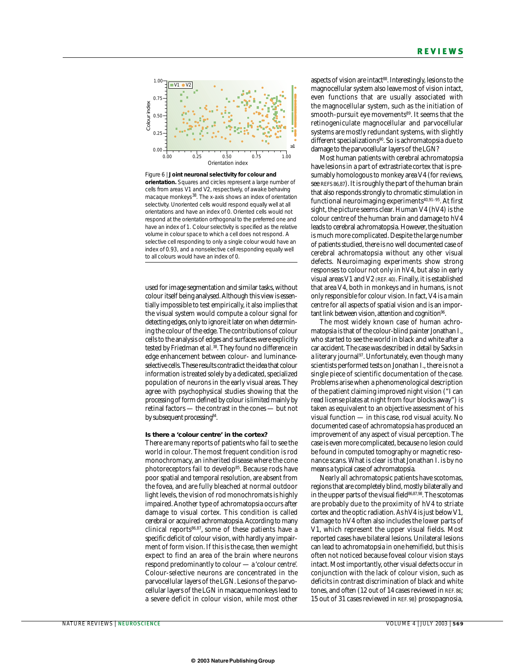

Figure 6 | **Joint neuronal selectivity for colour and orientation.** Squares and circles represent a large number of cells from areas V1 and V2, respectively, of awake behaving macaque monkeys38. The *x*-axis shows an index of orientation selectivity. Unoriented cells would respond equally well at all orientations and have an index of 0. Oriented cells would not respond at the orientation orthogonal to the preferred one and have an index of 1. Colour selectivity is specified as the relative volume in colour space to which a cell does not respond. A selective cell responding to only a single colour would have an index of 0.93, and a nonselective cell responding equally well to all colours would have an index of 0.

used for image segmentation and similar tasks, without colour itself being analysed. Although this view is essentially impossible to test empirically, it also implies that the visual system would compute a colour signal for detecting edges, only to ignore it later on when determining the colour of the edge. The contributions of colour cells to the analysis of edges and surfaces were explicitly tested by Friedman et al.<sup>38</sup>. They found no difference in edge enhancement between colour- and luminanceselective cells. These results contradict the idea that colour information is treated solely by a dedicated, specialized population of neurons in the early visual areas. They agree with psychophysical studies showing that the processing of form defined by colour is limited mainly by retinal factors — the contrast in the cones — but not by subsequent processing<sup>84</sup>.

# **Is there a 'colour centre' in the cortex?**

There are many reports of patients who fail to see the world in colour. The most frequent condition is rod monochromacy, an inherited disease where the cone photoreceptors fail to develop<sup>85</sup>. Because rods have poor spatial and temporal resolution, are absent from the fovea, and are fully bleached at normal outdoor light levels, the vision of rod monochromats is highly impaired. Another type of achromatopsia occurs after damage to visual cortex. This condition is called cerebral or acquired achromatopsia. According to many clinical reports<sup>86,87</sup>, some of these patients have a specific deficit of colour vision, with hardly any impairment of form vision. If this is the case, then we might expect to find an area of the brain where neurons respond predominantly to colour — a 'colour centre'. Colour-selective neurons are concentrated in the parvocellular layers of the LGN. Lesions of the parvocellular layers of the LGN in macaque monkeys lead to a severe deficit in colour vision, while most other

aspects of vision are intact<sup>88</sup>. Interestingly, lesions to the magnocellular system also leave most of vision intact, even functions that are usually associated with the magnocellular system, such as the initiation of smooth-pursuit eye movements<sup>89</sup>. It seems that the retinogeniculate magnocellular and parvocellular systems are mostly redundant systems, with slightly different specializations<sup>90</sup>. So is achromatopsia due to damage to the parvocellular layers of the LGN?

Most human patients with cerebral achromatopsia have lesions in a part of extrastriate cortex that is presumably homologous to monkey area V4 (for reviews, see REFS 86,87). It is roughly the part of the human brain that also responds strongly to chromatic stimulation in functional neuroimaging experiments<sup>40,91-95</sup>. At first sight, the picture seems clear. Human V4 (hV4) is the colour centre of the human brain and damage to hV4 leads to cerebral achromatopsia. However, the situation is much more complicated. Despite the large number of patients studied, there is no well documented case of cerebral achromatopsia without any other visual defects. Neuroimaging experiments show strong responses to colour not only in hV4, but also in early visual areas V1 and V2 (REF. 40). Finally, it is established that area V4, both in monkeys and in humans, is not only responsible for colour vision. In fact, V4 is a main centre for all aspects of spatial vision and is an important link between vision, attention and cognition<sup>96</sup>.

The most widely known case of human achromatopsia is that of the colour-blind painter Jonathan I., who started to see the world in black and white after a car accident. The case was described in detail by Sacks in a literary journal97. Unfortunately, even though many scientists performed tests on Jonathan I., there is not a single piece of scientific documentation of the case. Problems arise when a phenomenological description of the patient claiming improved night vision ("I can read license plates at night from four blocks away") is taken as equivalent to an objective assessment of his visual function — in this case, rod visual acuity. No documented case of achromatopsia has produced an improvement of any aspect of visual perception. The case is even more complicated, because no lesion could be found in computed tomography or magnetic resonance scans. What is clear is that Jonathan I. is by no means a typical case of achromatopsia.

Nearly all achromatopsic patients have scotomas, regions that are completely blind, mostly bilaterally and in the upper parts of the visual field<sup>86,87,98</sup>. The scotomas are probably due to the proximity of hV4 to striate cortex and the optic radiation. As hV4 is just below V1, damage to hV4 often also includes the lower parts of V1, which represent the upper visual fields. Most reported cases have bilateral lesions. Unilateral lesions can lead to achromatopsia in one hemifield, but this is often not noticed because foveal colour vision stays intact. Most importantly, other visual defects occur in conjunction with the lack of colour vision, such as deficits in contrast discrimination of black and white tones, and often (12 out of 14 cases reviewed in REF. 86; 15 out of 31 cases reviewed in REF. 98) prosopagnosia,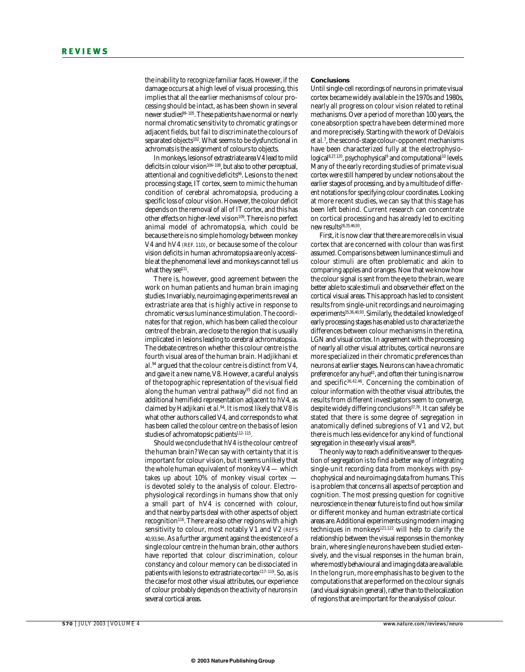the inability to recognize familiar faces. However, if the damage occurs at a high level of visual processing, this implies that all the earlier mechanisms of colour processing should be intact, as has been shown in several newer studies99–105. These patients have normal or nearly normal chromatic sensitivity to chromatic gratings or adjacent fields, but fail to discriminate the colours of separated objects<sup>102</sup>. What seems to be dysfunctional in achromats is the assignment of colours to objects.

In monkeys, lesions of extrastriate area V4 lead to mild deficits in colour vision<sup>106–108</sup>, but also to other perceptual, attentional and cognitive deficits<sup>96</sup>. Lesions to the next processing stage, IT cortex, seem to mimic the human condition of cerebral achromatopsia, producing a specific loss of colour vision. However, the colour deficit depends on the removal of all of IT cortex, and this has other effects on higher-level vision<sup>109</sup>. There is no perfect animal model of achromatopsia, which could be because there is no simple homology between monkey V4 and hV4 (REF. 110), or because some of the colour vision deficits in human achromatopsia are only accessible at the phenomenal level and monkeys cannot tell us what they see<sup>111</sup>.

There is, however, good agreement between the work on human patients and human brain imaging studies. Invariably, neuroimaging experiments reveal an extrastriate area that is highly active in response to chromatic versus luminance stimulation. The coordinates for that region, which has been called the colour centre of the brain, are close to the region that is usually implicated in lesions leading to cerebral achromatopsia. The debate centres on whether this colour centre is the fourth visual area of the human brain. Hadjikhani *et al.*<sup>94</sup> argued that the colour centre is distinct from V4, and gave it a new name, V8. However, a careful analysis of the topographic representation of the visual field along the human ventral pathway<sup>95</sup> did not find an additional hemifield representation adjacent to hV4, as claimed by Hadjikani *et al.*94. It is most likely that V8 is what other authors called V4, and corresponds to what has been called the colour centre on the basis of lesion studies of achromatopsic patients $112-115$ .

Should we conclude that hV4 is the colour centre of the human brain? We can say with certainty that it is important for colour vision, but it seems unlikely that the whole human equivalent of monkey V4 — which takes up about 10% of monkey visual cortex is devoted solely to the analysis of colour. Electrophysiological recordings in humans show that only a small part of hV4 is concerned with colour, and that nearby parts deal with other aspects of object recognition<sup>116</sup>. There are also other regions with a high sensitivity to colour, most notably V1 and V2 (REFS 40,93,94). As a further argument against the existence of a single colour centre in the human brain, other authors have reported that colour discrimination, colour constancy and colour memory can be dissociated in patients with lesions to extrastriate cortex<sup>117-119</sup>. So, as is the case for most other visual attributes, our experience of colour probably depends on the activity of neurons in several cortical areas.

#### **Conclusions**

Until single-cell recordings of neurons in primate visual cortex became widely available in the 1970s and 1980s, nearly all progress on colour vision related to retinal mechanisms. Over a period of more than 100 years, the cone absorption spectra have been determined more and more precisely. Starting with the work of DeValois *et al.*<sup>7</sup> , the second-stage colour-opponent mechanisms have been characterized fully at the electrophysiological<sup>8,27,120</sup>, psychophysical<sup>9</sup> and computational<sup>10</sup> levels. Many of the early recording studies of primate visual cortex were still hampered by unclear notions about the earlier stages of processing, and by a multitude of different notations for specifying colour coordinates. Looking at more recent studies, we can say that this stage has been left behind. Current research can concentrate on cortical processing and has already led to exciting new results $26,35,46,93$ .

First, it is now clear that there are more cells in visual cortex that are concerned with colour than was first assumed. Comparisons between luminance stimuli and colour stimuli are often problematic and akin to comparing apples and oranges. Now that we know how the colour signal is sent from the eye to the brain, we are better able to scale stimuli and observe their effect on the cortical visual areas. This approach has led to consistent results from single-unit recordings and neuroimaging experiments<sup>35,36,40,93</sup>. Similarly, the detailed knowledge of early processing stages has enabled us to characterize the differences between colour mechanisms in the retina, LGN and visual cortex. In agreement with the processing of nearly all other visual attributes, cortical neurons are more specialized in their chromatic preferences than neurons at earlier stages. Neurons can have a chromatic preference for any hue $41$ , and often their tuning is narrow and specific<sup>36,42,46</sup>. Concerning the combination of colour information with the other visual attributes, the results from different investigators seem to converge, despite widely differing conclusions<sup>37,76</sup>. It can safely be stated that there is some degree of segregation in anatomically defined subregions of V1 and V2, but there is much less evidence for any kind of functional segregation in these early visual areas<sup>38</sup>.

The only way to reach a definitive answer to the question of segregation is to find a better way of integrating single-unit recording data from monkeys with psychophysical and neuroimaging data from humans. This is a problem that concerns all aspects of perception and cognition. The most pressing question for cognitive neuroscience in the near future is to find out how similar or different monkey and human extrastriate cortical areas are.Additional experiments using modern imaging techniques in monkeys<sup>121,122</sup> will help to clarify the relationship between the visual responses in the monkey brain, where single neurons have been studied extensively, and the visual responses in the human brain, where mostly behavioural and imaging data are available. In the long run, more emphasis has to be given to the computations that are performed on the colour signals (and visual signals in general), rather than to the localization of regions that are important for the analysis of colour.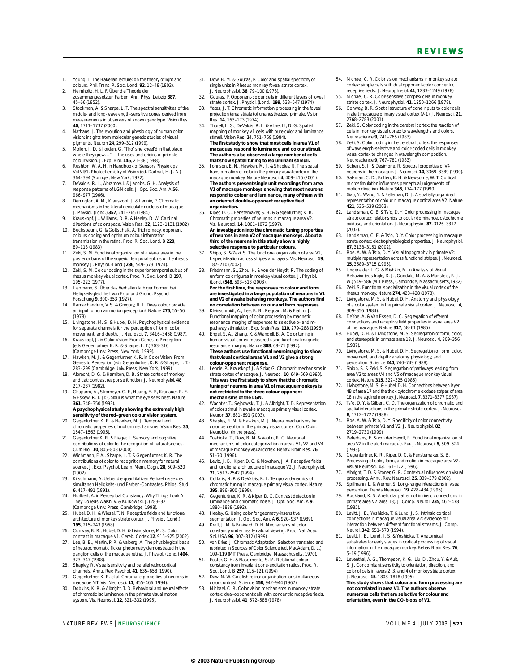- 1. Young, T. The Bakerian lecture: on the theory of light and colours. *Phil. Trans. R. Soc. Lond.* **92**, 12–48 (1802).
- 2. Helmholtz, H. L. F. Über die Theorie der zusammengesetzten Farben. *Ann. Phys. Leipzig* **887**, 45–66 (1852).
- 3. Stockman, A. & Sharpe, L. T. The spectral sensitivities of the middle- and long-wavelength-sensitive cones derived from measurements in observers of known genotype. *Vision Res*. **40**, 1711–1737 (2000).
- 4. Nathans, J. The evolution and physiology of human color vision: insights from molecular genetic studies of visual pigments. *Neuron* **24**, 299–312 (1999).
- 5. Mollon, J. D. & Jordan, G. "Tho' she kneel'd in that place where they grew…" the uses and origins of primate
- colour vision. *J. Exp. Biol*. **146**, 21–38 (1988). 6. Rushton, W. A. H. in *Handbook of Sensory Physiology Vol VII/1. Photochemistry of Vision* (ed. Dartnall, H. J. A.)
- 364–394 (Springer, New York, 1972). 7. DeValois, R. L., Abramov, I. & Jacobs, G. H. Analysis of response patterns of LGN cells*. J. Opt. Soc. Am*. *A* **56**, 966–977 (1966).
- Derrington, A. M., Krauskopf, J. & Lennie, P. Chromatic
- mechanisms in the lateral geniculate nucleus of macaque.<br>J. Physiol. (Lond.) **357**, 241–265 (1984).<br>9. Krauskopf, J., Williams, D. R. & Heeley, D. W. Cardinal<br>directions of color space. *Vision Res.* **22**, 1123–1131 (1982)
- 10. Buchsbaum, G. & Gottschalk, A. Trichromacy, opponent colours coding and optimum colour information transmission in the retina. *Proc. R. Soc. Lond. B* **220**,
- 89–113 (1983). 11. Zeki, S. M. Functional organization of a visual area in the posterior bank of the superior temporal sulcus of the rhesus monkey. *J. Physiol. (Lond.)* **236**, 549–573 (1974).
- 12. Zeki, S. M. Colour coding in the superior temporal sulcus of rhesus monkey visual cortex. *Proc. R. Soc. Lond. B* **197**, 195–223 (1977).
- 13. Liebmann, S. Über das Verhalten farbiger Formen bei Helligkeitsgleichheit von Figur und Grund. *Psychol. Forschung* **9**, 300–353 (1927).
- 14. Ramachandran, V. S. & Gregory, R. L. Does colour provide an input to human motion perception? *Nature* **275**, 55–56 (1978).
- 15. Livingstone, M. S. & Hubel, D. H. Psychophysical evidence for separate channels for the perception of form, color, movement, and depth. *J. Neurosci*. **7**, 3416–3468 (1987).
- 16. Krauskopf, J. in *Color Vision: From Genes to Perception* (eds Gegenfurtner, K. R. & Sharpe, L. T.) 303–316 (Cambridge Univ. Press, New York, 1999).
- 17. Hawken, M. J. & Gegenfurtner, K. R. in *Color Vision: From Genes to Perception* (eds Gegenfurtner, K. R. & Sharpe, L. T.)
- 283–299 (Cambridge Univ. Press, New York, 1999). 18. Albrecht, D. G. & Hamilton, D. B. Striate cortex of monkey and cat: contrast response function. *J. Neurophysiol.* **48**, 217–237 (1982).
- Chaparro, A., Stromeyer, C. F., Huang, E. P., Kronauer, R. E. & Eskew, R. T. Jr. Colour is what the eye sees best. *Nature* **361**, 348–350 (1993).

# **A psychophysical study showing the extremely high sensitivity of the red–green colour vision system.** 20. Gegenfurtner, K. R. & Hawken, M. J. Temporal and

- chromatic properties of motion mechanisms. *Vision Res.* **35**, 1547–1563 (1995).
- 21. Gegenfurtner K. R. & Rieger, J. Sensory and cognitive contributions of color to the recognition of natural scenes. *Curr. Biol*. **10**, 805–808 (2000). 22. Wichmann, F. A., Sharpe, L. T. & Gegenfurtner, K. R. The
- contributions of color to recognition memory for natural scenes. *J. Exp. Psychol. Learn. Mem. Cogn*. **28**, 509–520 (2002).
- 23. Kirschmann, A. Ueber die quantitativen Verhaeltnisse des simultanen Helligkeits- und Farben-Contrastes. *Philos. Stud.* **6**, 417–491 (1891).
- 24. Hurlbert, A. in *Perceptual Constancy: Why Things Look A They Do* (eds Walsh, V. & Kulikowski, J.) 283–321
- (Cambridge Univ. Press, Cambridge, 1998). 25. Hubel, D. H. & Wiesel, T. N. Receptive fields and functional architecture of monkey striate cortex. *J. Physiol. (Lond.)* **195**, 215–243 (1968).
- 26. Conway, B. R., Hubel, D. H. & Livingstone, M. S. Color
- contrast in macaque V1. *Cereb. Cortex* **12**, 915–925 (2002). 27. Lee, B. B., Martin, P. R. & Valberg, A. The physiological basis of heterochromatic flicker photometry demonstrated in the ganglion cells of the macaque retina. *J. Physiol. (Lond.)* **404**, 323–347 (1988).
- 28. Shapley, R. Visual sensitivity and parallel retinocortical channels. *Annu. Rev. Psychol*. **41**, 635–658 (1990).
- 29. Gegenfurtner, K. R. *et al.* Chromatic properties of neurons in macaque MT. *Vis. Neurosci.* **11**, 455–466 (1994).
- 30. Dobkins, K. R. & Albright, T. D. Behavioral and neural effects of chromatic isoluminance in the primate visual motion system. *Vis. Neurosci.* **12**, 321–332 (1995).
- 31. Dow, B. M. & Gouras, P. Color and spatial specificity of single units in Rhesus monkey foveal striate cortex. *J. Neurophysiol*. **36**, 79–100 (1973).
- 32. Gouras, P. Opponent-colour cells in different layers of foveal striate cortex. *J. Physiol. (Lond.)* **199**, 533–547 (1974).
- 33. Yates, J. T. Chromatic information processing in the foveal projection (area striata) of unanesthetized primate. *Vision Res*. **14**, 163–173 (1974).
- 34. Thorell, L. G., DeValois, R. L. & Albrecht, D. G. Spatial mapping of monkey V1 cells with pure color and luminance stimuli. *Vision Res*. **24**, 751–769 (1984). **The first study to show that most cells in area V1 of macaques respond to luminance and colour stimuli. The authors also observed a large number of cells**
- **that show spatial tuning to isoluminant stimuli.** 35. Johnson, E. N., Hawken, M. J. & Shapley, R. The spatial transformation of color in the primary visual cortex of the macaque monkey. *Nature Neurosci*. **4**, 409–416 (2001). **The authors present single unit recordings from area V1 of macaque monkeys showing that most neurons respond to colour and luminance, many of them with an oriented double-opponent receptive field organization.**
- 36. Kiper, D. C., Fenstemaker, S. B. & Gegenfurtner, K. R. Chromatic properties of neurons in macaque area V2. *Vis. Neurosci*. **14**, 1061–1072 (1997). **An investigation into the chromatic tuning properties of neurons in area V2 of macaque monkeys. About a third of the neurons in this study show a highly selective response to particular colours.**
- 37. Shipp, S. & Zeki, S. The functional organization of area V2, I: specialization across stripes and layers. *Vis. Neurosci*. **19**, 187–210 (2002).
- 38. Friedmann, S., Zhou, H. & von der Heydt, R. The coding of uniform color figures in monkey visual cortex. *J. Physiol. (Lond.)* **548**, 593–613 (2003).

**For the first time, the responses to colour and form are investigated in a large population of neurons in V1 and V2 of awake behaving monkeys. The authors find no correlation between colour and form responses.**

- 39. Kleinschmidt, A., Lee, B. B., Requart, M. & Frahm, J. Functional mapping of color processing by magnetic resonance imaging of responses to selective p- and m-
- pathway stimulation. *Exp. Brain Res.* **110**, 279–288 (1996). 40. Engel, S. A., Zhang, X. & Wandell, B. A. Color tuning in human visual cortex measured using functional magnetic resonance imaging. *Nature* **388**, 68–71 (1997). **These authors use functional neuroimaging to show that visual cortical areas V1 and V2 give a strong colour-opponent response.**
- 41. Lennie, P., Krauskopf, J. & Sclar, G. Chromatic mechanisms in striate cortex of macaque. *J. Neurosci*. **10**, 649–669 (1990). **This was the first study to show that the chromatic tuning of neurons in area V1 of macaque monkeys is not restricted to the three colour-opponent**
- **mechanisms of the LGN.**<br>
42. Wachtler, T., Sejnowski, T. J. & Albright, T. D. Representation of color stimuli in awake macaque primary visual cortex. *Neuron* **37**, 681–691 (2003).
- 43. Shapley, R. M. & Hawken, M. J. Neural mechanisms for color perception in the primary visual cortex. *Curr. Opin. Neurobiol*. (in the press).
- Yoshioka, T., Dow, B. M. & Vautin, R. G. Neuronal mechanisms of color categorization in areas V1, V2 and V4 of macaque monkey visual cortex. *Behav. Brain Res*. **76**, 51–70 (1996).
- Levitt, J. B., Kiper, D. C. & Movshon, J. A. Receptive fields and functional architecture of macaque V2. *J. Neurophysiol*. **71**, 2517–2542 (1994).
- 46. Cottaris, N. P. & DeValois, R. L. Temporal dynamics of chromatic tuning in macaque primary visual cortex. *Nature* **395**, 896–900 (1998). 47. Gegenfurtner, K. R. & Kiper, D. C. Contrast detection in
- luminance and chromatic noise. *J. Opt. Soc. Am. A* **9**, 1880–1888 (1992).
- 48. Healey, G. Using color for geometry-insensitive
- segmentation. *J. Opt. Soc. Am. A* **6**, 920–937 (1989). 49. Kraft, J. M. & Brainard, D. H. Mechanisms of color constancy under nearly natural viewing*. Proc. Natl Acad. Sci. USA* **96**, 307–312 (1999).
- 50. von Kries, J. *Chromatic Adaptation*. Selection translated and reprinted in *Sources of Color Science* (ed. MacAdam, D. L.)
- 109–119 (MIT Press, Cambridge, Massachusetts, 1970). 51. Foster, G. H. & Nascimento, S. M. Relational colour constancy from invariant cone-excitation ratios. *Proc. R. Soc. Lond. B* **257**, 115–121 (1994).
- 52. Daw, N. W. Goldfish retina: organization for simultaneous color contrast. *Science* **158**, 942–944 (1967).
- 53. Michael, C. R. Color vision mechanisms in monkey striate cortex: dual-opponent cells with concentric receptive fields. *J. Neurophysiol*. **41**, 572–588 (1978).
- 54. Michael, C. R. Color vision mechanisms in monkey striate cortex: simple cells with dual opponent-color concentric receptive fields. *J. Neurophysiol*. **41**, 1233–1249 (1978). 55. Michael, C. R. Color-sensitive complex cells in monkey
- 
- striate cortex. *J. Neurophysiol*. **41**, 1250–1266 (1978). 56. Conway, B. R. Spatial structure of cone inputs to color cells in alert macaque primary visual cortex (V-1). *J. Neurosci*. **21**, 2768–2783 (2001).
- Zeki, S. Color coding in the cerebral cortex: the reaction of cells in monkey visual cortex to wavelengths and colors. *Neuroscience* **9**, 741–765 (1983).
- 58. Zeki, S. Color coding in the cerebral cortex: the responses of wavelength-selective and color-coded cells in monkey visual cortex to changes in wavelength composition. *Neuroscience* **9**, 767–781 (1983).
- 59. Schein, S. J. & Desimone, R. Spectral properties of V4 neurons in the macaque. *J. Neurosci*. **10**, 3369–3389 (1990). 60. Salzman, C. D., Britten, K. H. & Newsome, W. T. Cortical
- microstimulation influences perceptual judgements of motion direction. *Nature* **346**, 174–177 (1990).
- 61. Xiao, Y., Wang, Y. & Felleman, D. J. A spatially organized representation of colour in macaque cortical area V2. *Nature* **421**, 535–539 (2003).
- Landisman, C. E. & Ts'o, D. Y. Color processing in macaque striate cortex: relationships to ocular dominance, cytochrome oxidase, and orientation. *J. Neurophysiol*. **87**, 3126–3317 (2002).
- Landisman, C. E. & Ts'o, D. Y. Color processing in macaque striate cortex: electrophysiological properties. *J. Neurophysiol*. **87**, 3138–3151 (2002).
- Roe, A. W. & Ts'o, D. Y. Visual topography in primate V2: multiple representation across functional stripes. *J. Neurosci.* **15**, 3689–3715 (1995).
- 65. Ungerleider, L. G. & Mishkin, M. in *Analysis of Visual Behavior* (eds Ingle, D. J., Goodale, M. A. & Mansfeld, R. J. W.) 549–586 (MIT Press, Cambridge, Massachusetts,1982).
- 66. Zeki, S. Functional specialisation in the visual cortex of the rhesus monkey. *Nature* **274**, 423–428 (1978).
- 67. Livingstone, M. S. & Hubel, D. H. Anatomy and physiology of a color system in the primate visual cortex. *J. Neurosci*. **4**, 309–356 (1984).
- 68. DeYoe, A. & Van Essen, D. C. Segregation of efferent connections and receptive field properties in visual area V2 of the macaque. *Nature* **317**, 58–61 (1985).
- Hubel, D. H. & Livingstone, M. S. Segregation of form, color, and stereopsis in primate area 18. *J. Neurosci*. **4**, 309–356 (1987).
- 70. Livingstone, M. S. & Hubel, D. H. Segregation of form, color, movement, and depth: anatomy, physiology, and perception. *Science* **240**, 740–749 (1988).
- 71. Shipp, S. & Zeki, S. Segregation of pathways leading from area V2 to areas V4 and V5 of macaque monkey visual
- cortex. *Nature* **315**, 322–325 (1985). 72. Livingstone, M. S. & Hubel, D. H. Connections between layer 4B of area 17 and the thick cytochrome oxidase stripes of area 18 in the squirrel monkey. *J. Neurosci*. **7**, 3371–3377 (1987). 73. Ts'o, D. Y. & Gilbert, C. D. The organization of chromatic and
- spatial interactions in the primate striate cortex. *J. Neurosci.* **8**, 1712–1727 (1988).
- 74. Roe, A. W. & Ts'o, D. Y. Specificity of color connectivity between primate V1 and V2*. J. Neurophysiol*. **82**, 2719–2730 (1999).
- 75. Peterhans, E. & von der Heydt, R. Functional organization of area V2 in the alert macaque. *Eur. J. Neurosci*. **5**, 509–524 (1993).
- 76. Gegenfurtner, K. R., Kiper, D. C. & Fenstemaker, S. B. Processing of color, form, and motion in macaque area V2. *Visual Neurosci*. **13**, 161–172 (1996).
- Albright, T. D. & Stoner, G. R. Contextual influences on visual processing. *Annu. Rev. Neurosci*. **25**, 339–379 (2002). 78. Spillmann, L. & Werner, S. Long-range interactions in visual
- perception. *Trends Neurosci.* **19**, 428–434 (1996). 79. Rockland, K. S. A reticular pattern of intrinsic connections in
- primate area V2 (area 18). *J. Comp. Neurol.* **235**, 467–478 (1985).
- 80. Levitt, J. B., Yoshioka, T. & Lund, J. S. Intrinsic cortical connections in macaque visual area V2: evidence for interaction between different functional streams. *J. Comp. Neurol*. **342**, 551–570 (1994).
- 81. Levitt, J. B., Lund, J. S. & Yoshioka, T. Anatomical substrates for early stages in cortical processing of visual information in the macaque monkey. *Behav Brain Res.* **76**, 5–19 (1996).
- Leventhal, A. G., Thompson, K. G., Liu, D., Zhou, Y. & Ault, S. J. Concomitant sensitivity to orientation, direction, and color of cells in layers 2, 3, and 4 of monkey striate cortex*. J. Neurosci.* **15**, 1808–1818 (1995).

**This study shows that colour and form processing are not correlated in area V1. The authors observe numerous cells that are selective for colour and orientation, even in the CO-blobs of V1.**